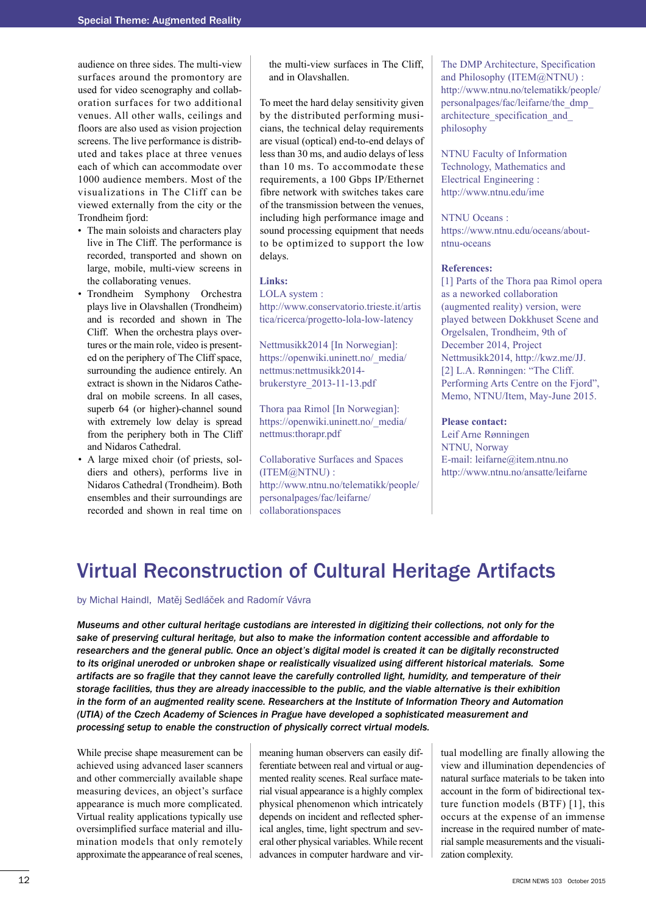audience on three sides. The multi-view surfaces around the promontory are used for video scenography and collaboration surfaces for two additional venues. All other walls, ceilings and floors are also used as vision projection screens. The live performance is distributed and takes place at three venues each of which can accommodate over 1000 audience members. Most of the visualizations in The Cliff can be viewed externally from the city or the Trondheim fjord:

- The main soloists and characters play live in The Cliff. The performance is recorded, transported and shown on large, mobile, multi-view screens in the collaborating venues.
- Trondheim Symphony Orchestra plays live in Olavshallen (Trondheim) and is recorded and shown in The Cliff. When the orchestra plays overtures or the main role, video is presented on the periphery of The Cliff space, surrounding the audience entirely. An extract is shown in the Nidaros Cathedral on mobile screens. In all cases, superb 64 (or higher)-channel sound with extremely low delay is spread from the periphery both in The Cliff and Nidaros Cathedral.
- A large mixed choir (of priests, soldiers and others), performs live in Nidaros Cathedral (Trondheim). Both ensembles and their surroundings are recorded and shown in real time on

the multi-view surfaces in The Cliff, and in Olavshallen.

To meet the hard delay sensitivity given by the distributed performing musicians, the technical delay requirements are visual (optical) end-to-end delays of less than 30 ms, and audio delays of less than 10 ms. To accommodate these requirements, a 100 Gbps IP/Ethernet fibre network with switches takes care of the transmission between the venues, including high performance image and sound processing equipment that needs to be optimized to support the low delays.

**Links:**

LOLA system : [http://www.conservatorio.trieste.it/artis](http://www.conservatorio.trieste.it/artistica/ricerca/progetto-lola-low-latency) tica/ricerca/progetto-lola-low-latency

Nettmusikk2014 [In Norwegian]: [https://openwiki.uninett.no/\\_media/](https://openwiki.uninett.no/_media/ nettmus:nettmusikk2014-brukerstyre_2013-11-13.pdf) nettmus:nettmusikk2014 brukerstyre\_2013-11-13.pdf

Thora paa Rimol [In Norwegian]: [https://openwiki.uninett.no/\\_media/](https://openwiki.uninett.no/_media/nettmus:thorapr.pdf) nettmus:thorapr.pdf

Collaborative Surfaces and Spaces (ITEM@NTNU) : [http://www.ntnu.no/telematikk/people/](http://www.ntnu.no/telematikk/people/personalpages/fac/leifarne/collaborationspaces) personalpages/fac/leifarne/ collaborationspaces

The DMP Architecture, Specification and Philosophy (ITEM@NTNU) : [http://www.ntnu.no/telematikk/people/](http://www.ntnu.no/telematikk/people/personalpages/fac/leifarne/the_dmp_architecture_specification_and_ philosophy) personalpages/fac/leifarne/the\_dmp\_ architecture\_specification\_and\_ philosophy

NTNU Faculty of Information Technology, Mathematics and Electrical Engineering : http://www.ntnu.edu/ime

#### NTNU Oceans :

https://www.ntnu.edu/oceans/aboutntnu-oceans

## **References:**

[1] Parts of the Thora paa Rimol opera as a neworked collaboration (augmented reality) version, were played between Dokkhuset Scene and Orgelsalen, Trondheim, 9th of December 2014, Project Nettmusikk2014, http://kwz.me/JJ. [2] L.A. Rønningen: "The Cliff. Performing Arts Centre on the Fjord", Memo, NTNU/Item, May-June 2015.

### **Please contact:**

Leif Arne Rønningen NTNU, Norway E-mail: leifarne@item.ntnu.no http://www.ntnu.no/ansatte/leifarne

# Virtual Reconstruction of Cultural Heritage Artifacts

by Michal Haindl, Matěj Sedláček and Radomír Vávra

*Museums and other cultural heritage custodians are interested in digitizing their collections, not only for the sake of preserving cultural heritage, but also to make the information content accessible and affordable to* researchers and the general public. Once an object's digital model is created it can be digitally reconstructed *to its original uneroded or unbroken shape or realistically visualized using different historical materials. Some* artifacts are so fragile that they cannot leave the carefully controlled light, humidity, and temperature of their storage facilities, thus they are already inaccessible to the public, and the viable alternative is their exhibition in the form of an augmented reality scene. Researchers at the Institute of Information Theory and Automation *(UTIA) of the Czech Academy of Sciences in Prague have developed a sophisticated measurement and processing setup to enable the construction of physically correct virtual models.*

While precise shape measurement can be achieved using advanced laser scanners and other commercially available shape measuring devices, an object's surface appearance is much more complicated. Virtual reality applications typically use oversimplified surface material and illumination models that only remotely approximate the appearance of real scenes,

meaning human observers can easily differentiate between real and virtual or augmented reality scenes. Real surface material visual appearance is a highly complex physical phenomenon which intricately depends on incident and reflected spherical angles, time, light spectrum and several other physical variables. While recent advances in computer hardware and vir-

tual modelling are finally allowing the view and illumination dependencies of natural surface materials to be taken into account in the form of bidirectional texture function models (BTF) [1], this occurs at the expense of an immense increase in the required number of material sample measurements and the visualization complexity.